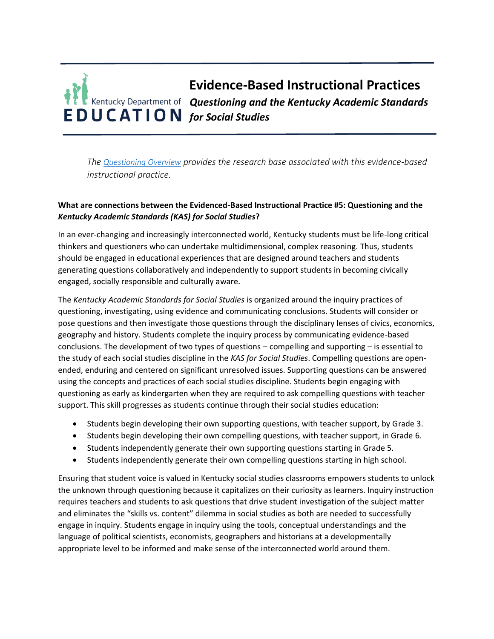# **Evidence-Based Instructional Practices** *Questioning and the Kentucky Academic Standards for Social Studies*

*The [Questioning Overview](https://education.ky.gov/curriculum/standards/kyacadstand/Documents/EBIP_5_Questioning.pdf) provides the research base associated with this evidence-based instructional practice.*

## **What are connections between the Evidenced-Based Instructional Practice #5: Questioning and the**  *Kentucky Academic Standards (KAS) for Social Studies***?**

In an ever-changing and increasingly interconnected world, Kentucky students must be life-long critical thinkers and questioners who can undertake multidimensional, complex reasoning. Thus, students should be engaged in educational experiences that are designed around teachers and students generating questions collaboratively and independently to support students in becoming civically engaged, socially responsible and culturally aware.

The *Kentucky Academic Standards for Social Studies* is organized around the inquiry practices of questioning, investigating, using evidence and communicating conclusions. Students will consider or pose questions and then investigate those questions through the disciplinary lenses of civics, economics, geography and history. Students complete the inquiry process by communicating evidence-based conclusions. The development of two types of questions – compelling and supporting – is essential to the study of each social studies discipline in the *KAS for Social Studies*. Compelling questions are openended, enduring and centered on significant unresolved issues. Supporting questions can be answered using the concepts and practices of each social studies discipline. Students begin engaging with questioning as early as kindergarten when they are required to ask compelling questions with teacher support. This skill progresses as students continue through their social studies education:

- Students begin developing their own supporting questions, with teacher support, by Grade 3.
- Students begin developing their own compelling questions, with teacher support, in Grade 6.
- Students independently generate their own supporting questions starting in Grade 5.
- Students independently generate their own compelling questions starting in high school.

Ensuring that student voice is valued in Kentucky social studies classrooms empowers students to unlock the unknown through questioning because it capitalizes on their curiosity as learners. Inquiry instruction requires teachers and students to ask questions that drive student investigation of the subject matter and eliminates the "skills vs. content" dilemma in social studies as both are needed to successfully engage in inquiry. Students engage in inquiry using the tools, conceptual understandings and the language of political scientists, economists, geographers and historians at a developmentally appropriate level to be informed and make sense of the interconnected world around them.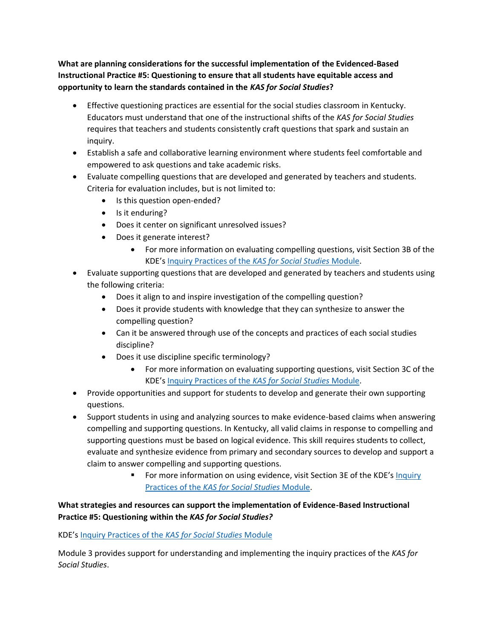**What are planning considerations for the successful implementation of the Evidenced-Based Instructional Practice #5: Questioning to ensure that all students have equitable access and opportunity to learn the standards contained in the** *KAS for Social Studies***?**

- Effective questioning practices are essential for the social studies classroom in Kentucky. Educators must understand that one of the instructional shifts of the *KAS for Social Studies*  requires that teachers and students consistently craft questions that spark and sustain an inquiry.
- Establish a safe and collaborative learning environment where students feel comfortable and empowered to ask questions and take academic risks.
- Evaluate compelling questions that are developed and generated by teachers and students. Criteria for evaluation includes, but is not limited to:
	- Is this question open-ended?
	- Is it enduring?
	- Does it center on significant unresolved issues?
	- Does it generate interest?
		- For more information on evaluating compelling questions, visit Section 3B of the KDE's [Inquiry Practices of the](https://education.ky.gov/curriculum/standards/kyacadstand/Documents/Inquiry_Practices_of_KAS_for_Social_Studies.pptx) *KAS for Social Studies* Module.
- Evaluate supporting questions that are developed and generated by teachers and students using the following criteria:
	- Does it align to and inspire investigation of the compelling question?
	- Does it provide students with knowledge that they can synthesize to answer the compelling question?
	- Can it be answered through use of the concepts and practices of each social studies discipline?
	- Does it use discipline specific terminology?
		- For more information on evaluating supporting questions, visit Section 3C of the KDE's [Inquiry Practices of the](https://education.ky.gov/curriculum/standards/kyacadstand/Documents/Inquiry_Practices_of_KAS_for_Social_Studies.pptx) *KAS for Social Studies* Module.
- Provide opportunities and support for students to develop and generate their own supporting questions.
- Support students in using and analyzing sources to make evidence-based claims when answering compelling and supporting questions. In Kentucky, all valid claims in response to compelling and supporting questions must be based on logical evidence. This skill requires students to collect, evaluate and synthesize evidence from primary and secondary sources to develop and support a claim to answer compelling and supporting questions.
	- For more information on using evidence, visit Section 3E of the KDE's Inquiry Practices of the *[KAS for Social Studies](https://education.ky.gov/curriculum/standards/kyacadstand/Documents/Inquiry_Practices_of_KAS_for_Social_Studies.pptx)* Module.

## **What strategies and resources can support the implementation of Evidence-Based Instructional Practice #5: Questioning within the** *KAS for Social Studies?*

KDE's [Inquiry Practices of the](https://education.ky.gov/curriculum/standards/kyacadstand/Documents/Inquiry_Practices_of_KAS_for_Social_Studies.pptx) *KAS for Social Studies* Module

Module 3 provides support for understanding and implementing the inquiry practices of the *KAS for Social Studies*.